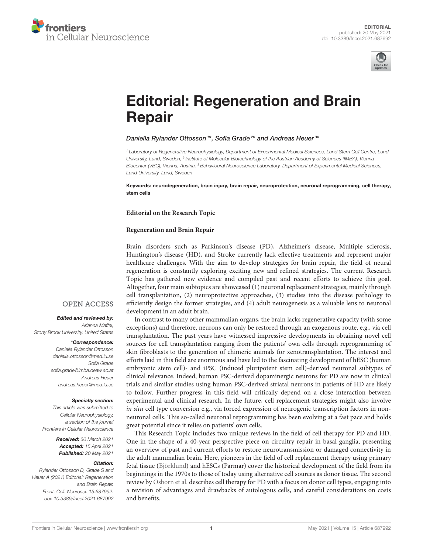



# [Editorial: Regeneration and Brain](https://www.frontiersin.org/articles/10.3389/fncel.2021.687992/full) Repair

## Daniella Rylander Ottosson<sup>1\*</sup>, Sofia Grade<sup>2\*</sup> and Andreas Heuer<sup>3\*</sup>

*<sup>1</sup> Laboratory of Regenerative Neurophysiology, Department of Experimental Medical Sciences, Lund Stem Cell Centre, Lund* University, Lund, Sweden, <sup>2</sup> Institute of Molecular Biotechnology of the Austrian Academy of Sciences (IMBA), Vienna *Biocenter (VBC), Vienna, Austria, <sup>3</sup> Behavioural Neuroscience Laboratory, Department of Experimental Medical Sciences, Lund University, Lund, Sweden*

Keywords: neurodegeneration, brain injury, brain repair, neuroprotection, neuronal reprogramming, cell therapy, stem cells

**Editorial on the Research Topic**

### **[Regeneration and Brain Repair](https://www.frontiersin.org/research-topics/9641/regeneration-and-brain-repair)**

Brain disorders such as Parkinson's disease (PD), Alzheimer's disease, Multiple sclerosis, Huntington's disease (HD), and Stroke currently lack effective treatments and represent major healthcare challenges. With the aim to develop strategies for brain repair, the field of neural regeneration is constantly exploring exciting new and refined strategies. The current Research Topic has gathered new evidence and compiled past and recent efforts to achieve this goal. Altogether, four main subtopics are showcased (1) neuronal replacement strategies, mainly through cell transplantation, (2) neuroprotective approaches, (3) studies into the disease pathology to efficiently design the former strategies, and (4) adult neurogenesis as a valuable lens to neuronal development in an adult brain.

In contrast to many other mammalian organs, the brain lacks regenerative capacity (with some exceptions) and therefore, neurons can only be restored through an exogenous route, e.g., via cell transplantation. The past years have witnessed impressive developments in obtaining novel cell sources for cell transplantation ranging from the patients' own cells through reprogramming of skin fibroblasts to the generation of chimeric animals for xenotransplantation. The interest and efforts laid in this field are enormous and have led to the fascinating development of hESC (human embryonic stem cell)- and iPSC (induced pluripotent stem cell)-derived neuronal subtypes of clinical relevance. Indeed, human PSC-derived dopaminergic neurons for PD are now in clinical trials and similar studies using human PSC-derived striatal neurons in patients of HD are likely to follow. Further progress in this field will critically depend on a close interaction between experimental and clinical research. In the future, cell replacement strategies might also involve in situ cell type conversion e.g., via forced expression of neurogenic transcription factors in nonneuronal cells. This so-called neuronal reprogramming has been evolving at a fast pace and holds great potential since it relies on patients' own cells.

This Research Topic includes two unique reviews in the field of cell therapy for PD and HD. One in the shape of a 40-year perspective piece on circuitry repair in basal ganglia, presenting an overview of past and current efforts to restore neurotransmission or damaged connectivity in the adult mammalian brain. Here, pioneers in the field of cell replacement therapy using primary fetal tissue [\(Björklund\)](https://doi.org/10.3389/fncel.2020.00146) and hESCs (Parmar) cover the historical development of the field from its beginnings in the 1970s to those of today using alternative cell sources as donor tissue. The second review by [Osborn et al.](https://doi.org/10.3389/fncel.2020.00058) describes cell therapy for PD with a focus on donor cell types, engaging into a revision of advantages and drawbacks of autologous cells, and careful considerations on costs and benefits.

# **OPEN ACCESS**

#### Edited and reviewed by:

*Arianna Maffei, Stony Brook University, United States*

#### \*Correspondence:

*Daniella Rylander Ottosson [daniella.ottosson@med.lu.se](mailto:daniella.ottosson@med.lu.se) Sofia Grade [sofia.grade@imba.oeaw.ac.at](mailto:sofia.grade@imba.oeaw.ac.at) Andreas Heuer [andreas.heuer@med.lu.se](mailto:andreas.heuer@med.lu.se)*

#### Specialty section:

*This article was submitted to Cellular Neurophysiology, a section of the journal Frontiers in Cellular Neuroscience*

> Received: *30 March 2021* Accepted: *15 April 2021* Published: *20 May 2021*

#### Citation:

*Rylander Ottosson D, Grade S and Heuer A (2021) Editorial: Regeneration and Brain Repair. Front. Cell. Neurosci. 15:687992. doi: [10.3389/fncel.2021.687992](https://doi.org/10.3389/fncel.2021.687992)*